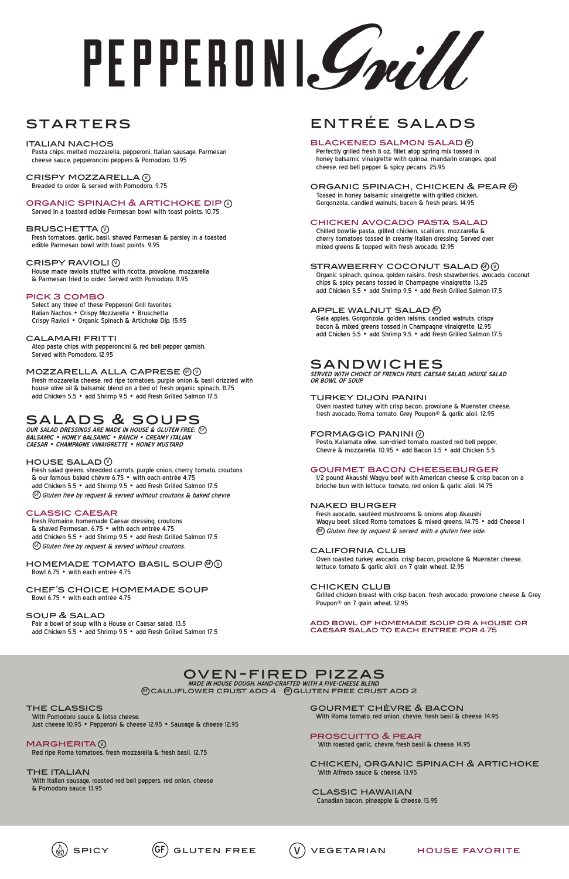# PEPPERDNI*Grill*

# **STARTERS**

# entrée salads

# **BLACKENED SALMON SALAD** @

 Perfectly grilled fresh 8 oz. fillet atop spring mix tossed in honey balsamic vinaigrette with quinoa, mandarin oranges, goat cheese, red bell pepper & spicy pecans. 25.95

# ORGANIC SPINACH, CHICKEN & PEAR  $\mathcal G$

 Tossed in honey balsamic vinaigrette with grilled chicken, Gorgonzola, candied walnuts, bacon & fresh pears. 14.95

# chicken avocado pasta salad

 Chilled bowtie pasta, grilled chicken, scallions, mozzarella & cherry tomatoes tossed in creamy Italian dressing. Served over mixed greens & topped with fresh avocado. 12.95

# STRAWBERRY COCONUT SALAD  $\circledcirc\circ$

 Organic spinach, quinoa, golden raisins, fresh strawberries, avocado, coconut chips & spicy pecans tossed in Champagne vinaigrette. 13.25 add Chicken 5.5 • add Shrimp 9.5 • add Fresh Grilled Salmon 17.5

# APPLE WALNUT SALAD  $\mathbb G$

 Fresh avocado, sautéed mushrooms & onions atop Akaushi Wagyu beef, sliced Roma tomatoes & mixed greens. 14.75 • add Cheese 1  $\left( \begin{smallmatrix} \mathbb{G} \end{smallmatrix} \right)$  Gluten free by request & served with a gluten free side.

 Gala apples, Gorgonzola, golden raisins, candied walnuts, crispy bacon & mixed greens tossed in Champagne vinaigrette. 12.95 add Chicken 5.5 • add Shrimp 9.5 • add Fresh Grilled Salmon 17.5

# sandwiches

**SERVED WITH CHOICE OF FRENCH FRIES, CAESAR SALAD, HOUSE SALAD OR BOWL OF SOUP.**

## turkey dijon panini

CRISPY MOZZARELLA (V Breaded to order & served with Pomodoro. 9.75

# ORGANIC SPINACH & ARTICHOKE DIP **W**

 Oven roasted turkey with crisp bacon, provolone & Muenster cheese, fresh avocado, Roma tomato, Grey Poupon® & garlic aïoli. 12.95

# FORMAGGIO PANINI (V

 Pesto, Kalamata olive, sun-dried tomato, roasted red bell pepper, Chevré & mozzarella. 10.95 • add Bacon 3.5 • add Chicken 5.5

# gourmet bacon cheeseburger

PICK 3 COMBO<br>Select any three of these Pepperoni Grill favorites. Italian Nachos • Crispy Mozzarella • Bruschetta Crispy Ravioli • Organic Spinach & Artichoke Dip. 15.95

> 1/2 pound Akaushi Wagyu beef with American cheese & crisp bacon on a brioche bun with lettuce, tomato, red onion & garlic aïoli. 14.75

## naked burger

 Fresh salad greens, shredded carrots, purple onion, cherry tomato, croutons & our famous baked chèvre 6.75 • with each entrèe 4.75 add Chicken 5.5 • add Shrimp 9.5 • add Fresh Grilled Salmon 17.5  $\mathbb{G}$  Gluten free by request & served without croutons & baked chévre.

# california club

 Fresh Romaine, homemade Caesar dressing, croutons & shaved Parmesan. 6.75 • with each entrèe 4.75 add Chicken 5.5 • add Shrimp 9.5 • add Fresh Grilled Salmon 17.5 GF) Gluten free by request & served without croutons.

> Oven roasted turkey, avocado, crisp bacon, provolone & Muenster cheese, lettuce, tomato & garlic aïoli. on 7 grain wheat. 12.95

# chicken club

## HOMEMADE TOMATO BASIL SOUP  $\circledcirc\circ$ Bowl 6.75 • with each entrée 4.75

 Grilled chicken breast with crisp bacon, fresh avocado, provolone cheese & Grey Poupon® on 7 grain wheat. 12.95

add bowl of homemade soup or a house or caesar salad to each entree for 4.75

## oven-fired pizzas **MADE IN HOUSE DOUGH, HAND-CRAFTED WITH A FIVE-CHEESE BLEND.**  $\circledast$ CAULIFLOWER CRUST ADD  $4$   $\circledast$ GLUTEN FREE CRUST ADD 2

THE CLASSICS<br>With Pomodoro sauce & lotsa cheese.

## italian nachos

 Pasta chips, melted mozzarella, pepperoni, Italian sausage, Parmesan cheese sauce, pepperoncini peppers & Pomodoro. 13.95

**MARGHERITA** Red ripe Roma tomatoes, fresh mozzarella & fresh basil. 12.75

> THE ITALIAN<br>With Italian sausage, roasted red bell peppers, red onion, cheese & Pomodoro sauce. 13.95

Served in a toasted edible Parmesan bowl with toast points. 10.75

# BRUSCHETTA $\,$   $\!\!\!\! \mathbb{V}$

 Fresh tomatoes, garlic, basil, shaved Parmesan & parsley in a toasted edible Parmesan bowl with toast points. 9.95

# CRISPY RAVIOLI $\,\mathbb Q\,$

 House made raviolis stuffed with ricotta, provolone, mozzarella & Parmesan fried to order. Served with Pomodoro. 11.95

# calamari fritti

 Atop pasta chips with pepperoncini & red bell pepper garnish. Served with Pomodoro. 12.95

# <code>MOZZARELLA</code> ALLA CAPRESE  $@@$

 Fresh mozzarella cheese, red ripe tomatoes, purple onion & basil drizzled with house olive oil & balsamic blend on a bed of fresh organic spinach. 11.75 add Chicken 5.5 • add Shrimp 9.5 • add Fresh Grilled Salmon 17.5

# salads & soups

**OUR SALAD DRESSINGS ARE MADE IN HOUSE & GLUTEN FREE:** GF **BALSAMIC • HONEY BALSAMIC • RANCH • CREAMY ITALIAN CAESAR • CHAMPAGNE VINAIGRETTE • HONEY MUSTARD**

# HOUSE SALAD  $\mathbb {Q}$

# classic caesar

## chef's choice homemade soup Bowl 6.75 • with each entrée 4.75

# soup & salad

 Pair a bowl of soup with a House or Caesar salad. 13.5 add Chicken 5.5 • add Shrimp 9.5 • add Fresh Grilled Salmon 17.5

Just cheese 10.95 • Pepperoni & cheese 12.95 • Sausage & cheese 12.95





gourmet chévre & bacon

With Roma tomato, red onion, chévre, fresh basil & cheese. 14.95

## proscuitto & pear

With roasted garlic, chévre, fresh basil & cheese. 14.95

chicken, organic spinach & artichoke With Alfredo sauce & cheese. 13.95

classic hawaiian Canadian bacon, pineapple & cheese. 13.95